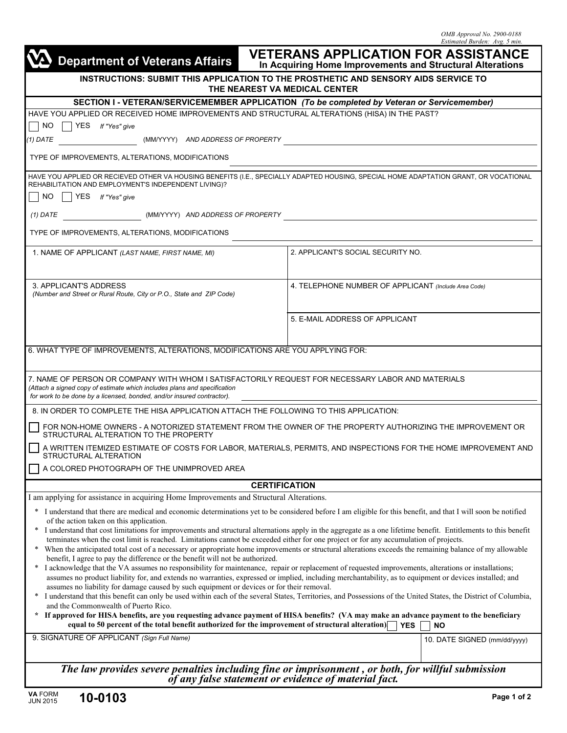| <b>VETERANS APPLICATION FOR ASSISTANCE</b><br><b>Department of Veterans Affairs</b><br>In Acquiring Home Improvements and Structural Alterations                                                                                                                                                                                                                                                                                                                                                                                                                                                                                                                                                           |                                                      |  |                              |  |
|------------------------------------------------------------------------------------------------------------------------------------------------------------------------------------------------------------------------------------------------------------------------------------------------------------------------------------------------------------------------------------------------------------------------------------------------------------------------------------------------------------------------------------------------------------------------------------------------------------------------------------------------------------------------------------------------------------|------------------------------------------------------|--|------------------------------|--|
| INSTRUCTIONS: SUBMIT THIS APPLICATION TO THE PROSTHETIC AND SENSORY AIDS SERVICE TO<br>THE NEAREST VA MEDICAL CENTER                                                                                                                                                                                                                                                                                                                                                                                                                                                                                                                                                                                       |                                                      |  |                              |  |
| SECTION I - VETERAN/SERVICEMEMBER APPLICATION (To be completed by Veteran or Servicemember)                                                                                                                                                                                                                                                                                                                                                                                                                                                                                                                                                                                                                |                                                      |  |                              |  |
| HAVE YOU APPLIED OR RECEIVED HOME IMPROVEMENTS AND STRUCTURAL ALTERATIONS (HISA) IN THE PAST?                                                                                                                                                                                                                                                                                                                                                                                                                                                                                                                                                                                                              |                                                      |  |                              |  |
| NO<br>$YES$ If "Yes" give                                                                                                                                                                                                                                                                                                                                                                                                                                                                                                                                                                                                                                                                                  |                                                      |  |                              |  |
| (MM/YYYY) AND ADDRESS OF PROPERTY<br>$(1)$ DATE                                                                                                                                                                                                                                                                                                                                                                                                                                                                                                                                                                                                                                                            |                                                      |  |                              |  |
| TYPE OF IMPROVEMENTS, ALTERATIONS, MODIFICATIONS                                                                                                                                                                                                                                                                                                                                                                                                                                                                                                                                                                                                                                                           |                                                      |  |                              |  |
| HAVE YOU APPLIED OR RECIEVED OTHER VA HOUSING BENEFITS (I.E., SPECIALLY ADAPTED HOUSING, SPECIAL HOME ADAPTATION GRANT, OR VOCATIONAL                                                                                                                                                                                                                                                                                                                                                                                                                                                                                                                                                                      |                                                      |  |                              |  |
| REHABILITATION AND EMPLOYMENT'S INDEPENDENT LIVING)?<br>NO.<br>YES If "Yes" give                                                                                                                                                                                                                                                                                                                                                                                                                                                                                                                                                                                                                           |                                                      |  |                              |  |
| (MM/YYYY) AND ADDRESS OF PROPERTY<br>$(1)$ DATE                                                                                                                                                                                                                                                                                                                                                                                                                                                                                                                                                                                                                                                            |                                                      |  |                              |  |
| TYPE OF IMPROVEMENTS, ALTERATIONS, MODIFICATIONS                                                                                                                                                                                                                                                                                                                                                                                                                                                                                                                                                                                                                                                           |                                                      |  |                              |  |
| 1. NAME OF APPLICANT (LAST NAME, FIRST NAME, MI)                                                                                                                                                                                                                                                                                                                                                                                                                                                                                                                                                                                                                                                           | 2. APPLICANT'S SOCIAL SECURITY NO.                   |  |                              |  |
| 3. APPLICANT'S ADDRESS<br>(Number and Street or Rural Route, City or P.O., State and ZIP Code)                                                                                                                                                                                                                                                                                                                                                                                                                                                                                                                                                                                                             | 4. TELEPHONE NUMBER OF APPLICANT (Include Area Code) |  |                              |  |
|                                                                                                                                                                                                                                                                                                                                                                                                                                                                                                                                                                                                                                                                                                            | 5. E-MAIL ADDRESS OF APPLICANT                       |  |                              |  |
| 6. WHAT TYPE OF IMPROVEMENTS, ALTERATIONS, MODIFICATIONS ARE YOU APPLYING FOR:                                                                                                                                                                                                                                                                                                                                                                                                                                                                                                                                                                                                                             |                                                      |  |                              |  |
| 7. NAME OF PERSON OR COMPANY WITH WHOM I SATISFACTORILY REQUEST FOR NECESSARY LABOR AND MATERIALS<br>(Attach a signed copy of estimate which includes plans and specification<br>for work to be done by a licensed, bonded, and/or insured contractor).                                                                                                                                                                                                                                                                                                                                                                                                                                                    |                                                      |  |                              |  |
| 8. IN ORDER TO COMPLETE THE HISA APPLICATION ATTACH THE FOLLOWING TO THIS APPLICATION:                                                                                                                                                                                                                                                                                                                                                                                                                                                                                                                                                                                                                     |                                                      |  |                              |  |
| FOR NON-HOME OWNERS - A NOTORIZED STATEMENT FROM THE OWNER OF THE PROPERTY AUTHORIZING THE IMPROVEMENT OR<br>STRUCTURAL ALTERATION TO THE PROPERTY                                                                                                                                                                                                                                                                                                                                                                                                                                                                                                                                                         |                                                      |  |                              |  |
| A WRITTEN ITEMIZED ESTIMATE OF COSTS FOR LABOR, MATERIALS, PERMITS, AND INSPECTIONS FOR THE HOME IMPROVEMENT AND<br>STRUCTURAL ALTERATION                                                                                                                                                                                                                                                                                                                                                                                                                                                                                                                                                                  |                                                      |  |                              |  |
| A COLORED PHOTOGRAPH OF THE UNIMPROVED AREA                                                                                                                                                                                                                                                                                                                                                                                                                                                                                                                                                                                                                                                                |                                                      |  |                              |  |
| <b>CERTIFICATION</b>                                                                                                                                                                                                                                                                                                                                                                                                                                                                                                                                                                                                                                                                                       |                                                      |  |                              |  |
| I am applying for assistance in acquiring Home Improvements and Structural Alterations.                                                                                                                                                                                                                                                                                                                                                                                                                                                                                                                                                                                                                    |                                                      |  |                              |  |
| I understand that there are medical and economic determinations yet to be considered before I am eligible for this benefit, and that I will soon be notified<br>∗<br>of the action taken on this application.                                                                                                                                                                                                                                                                                                                                                                                                                                                                                              |                                                      |  |                              |  |
| I understand that cost limitations for improvements and structural alternations apply in the aggregate as a one lifetime benefit. Entitlements to this benefit<br>terminates when the cost limit is reached. Limitations cannot be exceeded either for one project or for any accumulation of projects.<br>When the anticipated total cost of a necessary or appropriate home improvements or structural alterations exceeds the remaining balance of my allowable<br>benefit, I agree to pay the difference or the benefit will not be authorized.<br>I acknowledge that the VA assumes no responsibility for maintenance, repair or replacement of requested improvements, alterations or installations; |                                                      |  |                              |  |
| assumes no product liability for, and extends no warranties, expressed or implied, including merchantability, as to equipment or devices installed; and<br>assumes no liability for damage caused by such equipment or devices or for their removal.<br>I understand that this benefit can only be used within each of the several States, Territories, and Possessions of the United States, the District of Columbia,<br>∗<br>and the Commonwealth of Puerto Rico.                                                                                                                                                                                                                                       |                                                      |  |                              |  |
| * If approved for HISA benefits, are you requesting advance payment of HISA benefits? (VA may make an advance payment to the beneficiary<br>equal to 50 percent of the total benefit authorized for the improvement of structural alteration)<br><b>YES</b><br><b>NO</b>                                                                                                                                                                                                                                                                                                                                                                                                                                   |                                                      |  |                              |  |
| 9. SIGNATURE OF APPLICANT (Sign Full Name)                                                                                                                                                                                                                                                                                                                                                                                                                                                                                                                                                                                                                                                                 |                                                      |  | 10. DATE SIGNED (mm/dd/yyyy) |  |
|                                                                                                                                                                                                                                                                                                                                                                                                                                                                                                                                                                                                                                                                                                            |                                                      |  |                              |  |
| The law provides severe penalties including fine or imprisonment, or both, for willful submission<br>of any false statement or evidence of material fact.                                                                                                                                                                                                                                                                                                                                                                                                                                                                                                                                                  |                                                      |  |                              |  |